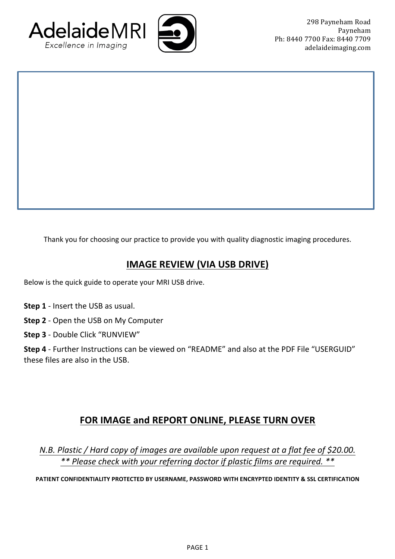



Thank you for choosing our practice to provide you with quality diagnostic imaging procedures.

## **IMAGE REVIEW (VIA USB DRIVE)**

Below is the quick guide to operate your MRI USB drive.

- **Step 1** Insert the USB as usual.
- **Step 2** Open the USB on My Computer
- **Step 3** Double Click "RUNVIEW"

Step 4 - Further Instructions can be viewed on "README" and also at the PDF File "USERGUID" these files are also in the USB.

## **FOR IMAGE and REPORT ONLINE, PLEASE TURN OVER**

*N.B. Plastic* / *Hard copy of images are available upon request at a flat fee of \$20.00. \*\* Please check with your referring doctor if plastic films are required. \*\**

PATIENT CONFIDENTIALITY PROTECTED BY USERNAME, PASSWORD WITH ENCRYPTED IDENTITY & SSL CERTIFICATION